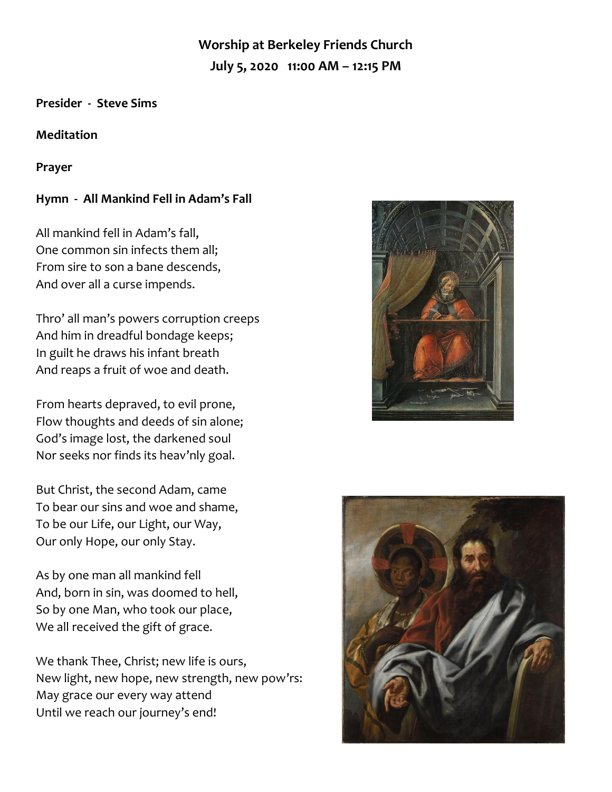# **Worship at Berkeley Friends Church July 5, 2020 11:00 AM – 12:15 PM**

#### **Presider - Steve Sims**

#### **Meditation**

**Prayer**

## **Hymn - All Mankind Fell in Adam's Fall**

All mankind fell in Adam's fall, One common sin infects them all; From sire to son a bane descends, And over all a curse impends.

Thro' all man's powers corruption creeps And him in dreadful bondage keeps; In guilt he draws his infant breath And reaps a fruit of woe and death.

From hearts depraved, to evil prone, Flow thoughts and deeds of sin alone; God's image lost, the darkened soul Nor seeks nor finds its heav'nly goal.

But Christ, the second Adam, came To bear our sins and woe and shame, To be our Life, our Light, our Way, Our only Hope, our only Stay.

As by one man all mankind fell And, born in sin, was doomed to hell, So by one Man, who took our place, We all received the gift of grace.

We thank Thee, Christ; new life is ours, New light, new hope, new strength, new pow'rs: May grace our every way attend Until we reach our journey's end!



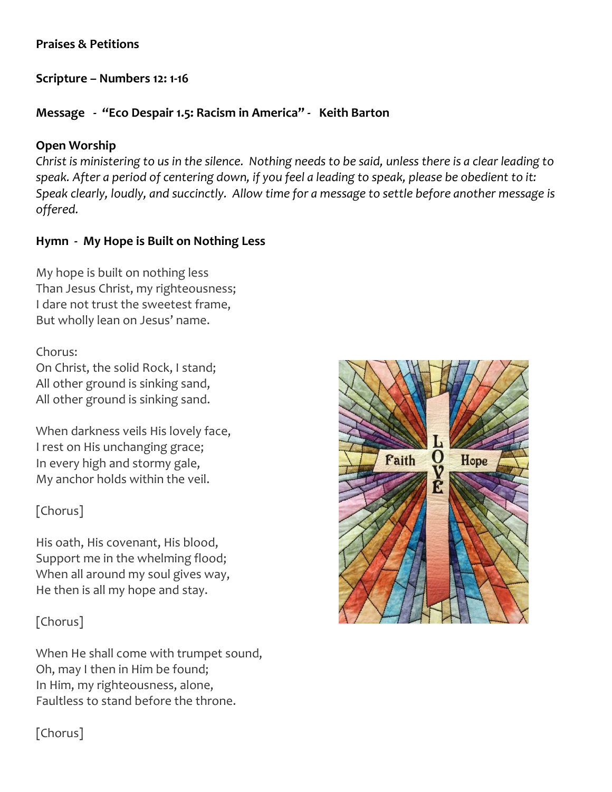### **Praises & Petitions**

#### **Scripture – Numbers 12: 1-16**

## **Message - "Eco Despair 1.5: Racism in America" - Keith Barton**

### **Open Worship**

*Christ is ministering to us in the silence. Nothing needs to be said, unless there is a clear leading to speak. After a period of centering down, if you feel a leading to speak, please be obedient to it: Speak clearly, loudly, and succinctly. Allow time for a message to settle before another message is offered.*

## **Hymn - My Hope is Built on Nothing Less**

My hope is built on nothing less Than Jesus Christ, my righteousness; I dare not trust the sweetest frame, But wholly lean on Jesus' name.

### Chorus:

On Christ, the solid Rock, I stand; All other ground is sinking sand, All other ground is sinking sand.

When darkness veils His lovely face, I rest on His unchanging grace; In every high and stormy gale, My anchor holds within the veil.

## [Chorus]

His oath, His covenant, His blood, Support me in the whelming flood; When all around my soul gives way, He then is all my hope and stay.

## [Chorus]

When He shall come with trumpet sound, Oh, may I then in Him be found; In Him, my righteousness, alone, Faultless to stand before the throne.

 $\frac{0}{\mathbf{V}}$ Faith Hope E

[Chorus]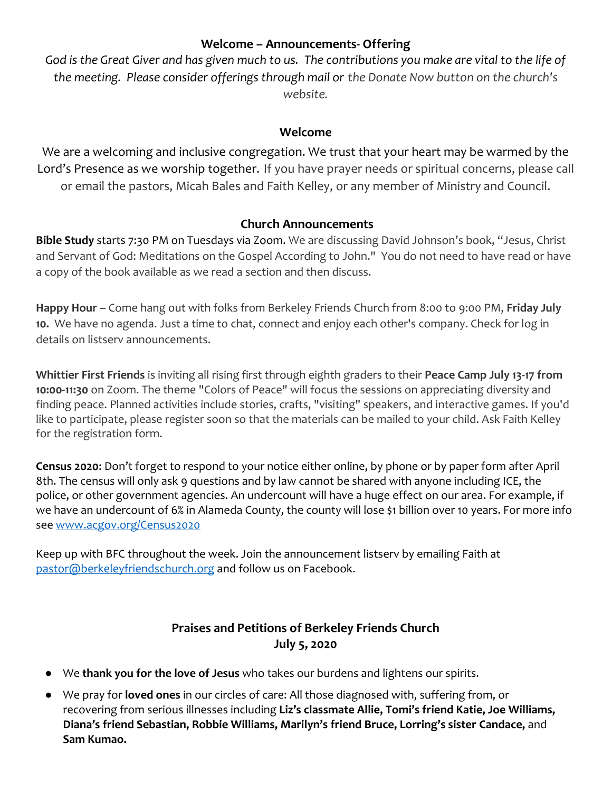#### **Welcome – Announcements- Offering**

*God is the Great Giver and has given much to us. The contributions you make are vital to the life of the meeting. Please consider offerings through mail or the Donate Now button on the church's website.*

#### **Welcome**

We are a welcoming and inclusive congregation. We trust that your heart may be warmed by the Lord's Presence as we worship together. If you have prayer needs or spiritual concerns, please call or email the pastors, Micah Bales and Faith Kelley, or any member of Ministry and Council.

#### **Church Announcements**

**Bible Study** starts 7:30 PM on Tuesdays via Zoom. We are discussing David Johnson's book, "Jesus, Christ and Servant of God: Meditations on the Gospel According to John." You do not need to have read or have a copy of the book available as we read a section and then discuss.

**Happy Hour** – Come hang out with folks from Berkeley Friends Church from 8:00 to 9:00 PM, **Friday July 10.** We have no agenda. Just a time to chat, connect and enjoy each other's company. Check for log in details on listserv announcements.

**Whittier First Friends** is inviting all rising first through eighth graders to their **Peace Camp July 13-17 from 10:00-11:30** on Zoom. The theme "Colors of Peace" will focus the sessions on appreciating diversity and finding peace. Planned activities include stories, crafts, "visiting" speakers, and interactive games. If you'd like to participate, please register soon so that the materials can be mailed to your child. Ask Faith Kelley for the registration form.

**Census 2020**: Don't forget to respond to your notice either online, by phone or by paper form after April 8th. The census will only ask 9 questions and by law cannot be shared with anyone including ICE, the police, or other government agencies. An undercount will have a huge effect on our area. For example, if we have an undercount of 6% in Alameda County, the county will lose \$1 billion over 10 years. For more info see [www.acgov.org/Census2020](http://www.acgov.org/Census2020)

Keep up with BFC throughout the week. Join the announcement listserv by emailing Faith at [pastor@berkeleyfriendschurch.org](mailto:pastor@berkeleyfriendschurch.org) and follow us on Facebook.

## **Praises and Petitions of Berkeley Friends Church July 5, 2020**

- We **thank you for the love of Jesus** who takes our burdens and lightens our spirits.
- We pray for **loved ones** in our circles of care: All those diagnosed with, suffering from, or recovering from serious illnesses including **Liz's classmate Allie, Tomi's friend Katie, Joe Williams, Diana's friend Sebastian, Robbie Williams, Marilyn's friend Bruce, Lorring's sister Candace,** and **Sam Kumao.**